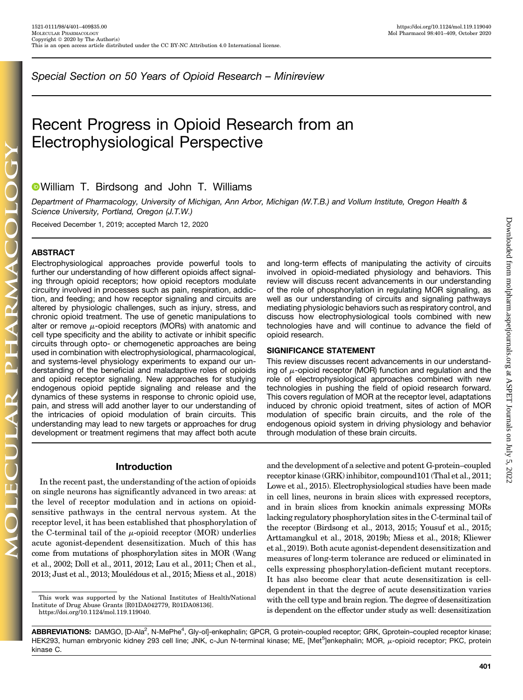Special Section on 50 Years of Opioid Research – Minireview

# Recent Progress in Opioid Research from an Electrophysiological Perspective

## William T. Birdsong and John T. Williams

Department of Pharmacology, University of Michigan, Ann Arbor, Michigan (W.T.B.) and Vollum Institute, Oregon Health & Science University, Portland, Oregon (J.T.W.)

Received December 1, 2019; accepted March 12, 2020

## **ABSTRACT**

Electrophysiological approaches provide powerful tools to further our understanding of how different opioids affect signaling through opioid receptors; how opioid receptors modulate circuitry involved in processes such as pain, respiration, addiction, and feeding; and how receptor signaling and circuits are altered by physiologic challenges, such as injury, stress, and chronic opioid treatment. The use of genetic manipulations to alter or remove  $\mu$ -opioid receptors (MORs) with anatomic and cell type specificity and the ability to activate or inhibit specific circuits through opto- or chemogenetic approaches are being used in combination with electrophysiological, pharmacological, and systems-level physiology experiments to expand our understanding of the beneficial and maladaptive roles of opioids and opioid receptor signaling. New approaches for studying endogenous opioid peptide signaling and release and the dynamics of these systems in response to chronic opioid use, pain, and stress will add another layer to our understanding of the intricacies of opioid modulation of brain circuits. This understanding may lead to new targets or approaches for drug development or treatment regimens that may affect both acute and long-term effects of manipulating the activity of circuits involved in opioid-mediated physiology and behaviors. This review will discuss recent advancements in our understanding of the role of phosphorylation in regulating MOR signaling, as well as our understanding of circuits and signaling pathways mediating physiologic behaviors such as respiratory control, and discuss how electrophysiological tools combined with new technologies have and will continue to advance the field of opioid research.

#### SIGNIFICANCE STATEMENT

This review discusses recent advancements in our understanding of  $\mu$ -opioid receptor (MOR) function and regulation and the role of electrophysiological approaches combined with new technologies in pushing the field of opioid research forward. This covers regulation of MOR at the receptor level, adaptations induced by chronic opioid treatment, sites of action of MOR modulation of specific brain circuits, and the role of the endogenous opioid system in driving physiology and behavior through modulation of these brain circuits.

## Introduction

In the recent past, the understanding of the action of opioids on single neurons has significantly advanced in two areas: at the level of receptor modulation and in actions on opioidsensitive pathways in the central nervous system. At the receptor level, it has been established that phosphorylation of the C-terminal tail of the  $\mu$ -opioid receptor (MOR) underlies acute agonist-dependent desensitization. Much of this has come from mutations of phosphorylation sites in MOR (Wang et al., 2002; Doll et al., 2011, 2012; Lau et al., 2011; Chen et al., 2013; Just et al., 2013; Moulédous et al., 2015; Miess et al., 2018)

and the development of a selective and potent G-protein–coupled receptor kinase (GRK) inhibitor, compound101 (Thal et al., 2011; Lowe et al., 2015). Electrophysiological studies have been made in cell lines, neurons in brain slices with expressed receptors, and in brain slices from knockin animals expressing MORs lacking regulatory phosphorylation sites in the C-terminal tail of the receptor (Birdsong et al., 2013, 2015; Yousuf et al., 2015; Arttamangkul et al., 2018, 2019b; Miess et al., 2018; Kliewer et al., 2019). Both acute agonist-dependent desensitization and measures of long-term tolerance are reduced or eliminated in cells expressing phosphorylation-deficient mutant receptors. It has also become clear that acute desensitization is celldependent in that the degree of acute desensitization varies with the cell type and brain region. The degree of desensitization is dependent on the effector under study as well: desensitization

401

This work was supported by the National Institutes of Health/National Institute of Drug Abuse Grants [R01DA042779, R01DA08136]. [https://doi.org/10.1124/mol.119.119040.](https://doi.org/10.1124/mol.119.119040)

ABBREVIATIONS: DAMGO, [D-Ala<sup>2</sup>, N-MePhe<sup>4</sup>, Gly-ol]-enkephalin; GPCR, G protein-coupled receptor; GRK, Gprotein–coupled receptor kinase; HEK293, human embryonic kidney 293 cell line; JNK, c-Jun N-terminal kinase; ME, [Met<sup>5</sup>]enkephalin; MOR, µ-opioid receptor; PKC, protein kinase C.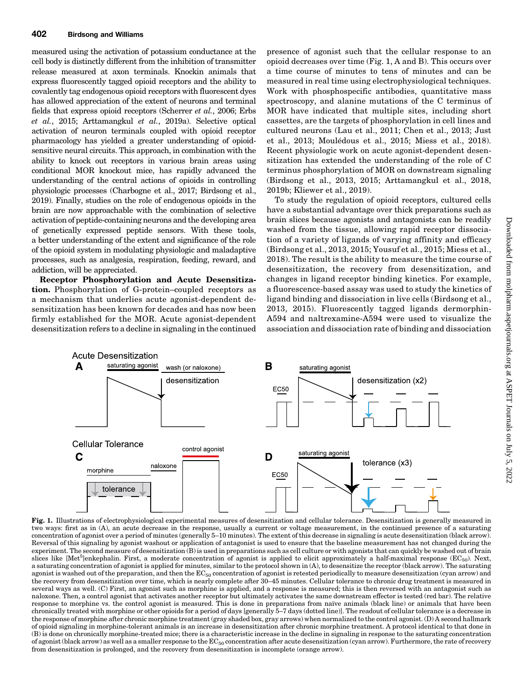measured using the activation of potassium conductance at the cell body is distinctly different from the inhibition of transmitter release measured at axon terminals. Knockin animals that express fluorescently tagged opioid receptors and the ability to covalently tag endogenous opioid receptors with fluorescent dyes has allowed appreciation of the extent of neurons and terminal fields that express opioid receptors (Scherrer et al., 2006; Erbs et al., 2015; Arttamangkul et al., 2019a). Selective optical activation of neuron terminals coupled with opioid receptor pharmacology has yielded a greater understanding of opioidsensitive neural circuits. This approach, in combination with the ability to knock out receptors in various brain areas using conditional MOR knockout mice, has rapidly advanced the understanding of the central actions of opioids in controlling physiologic processes (Charbogne et al., 2017; Birdsong et al., 2019). Finally, studies on the role of endogenous opioids in the brain are now approachable with the combination of selective activation of peptide-containing neurons and the developing area of genetically expressed peptide sensors. With these tools, a better understanding of the extent and significance of the role of the opioid system in modulating physiologic and maladaptive processes, such as analgesia, respiration, feeding, reward, and addiction, will be appreciated.

Receptor Phosphorylation and Acute Desensitization. Phosphorylation of G-protein–coupled receptors as a mechanism that underlies acute agonist-dependent desensitization has been known for decades and has now been firmly established for the MOR. Acute agonist-dependent desensitization refers to a decline in signaling in the continued

presence of agonist such that the cellular response to an opioid decreases over time (Fig. 1, A and B). This occurs over a time course of minutes to tens of minutes and can be measured in real time using electrophysiological techniques. Work with phosphospecific antibodies, quantitative mass spectroscopy, and alanine mutations of the C terminus of MOR have indicated that multiple sites, including short cassettes, are the targets of phosphorylation in cell lines and cultured neurons (Lau et al., 2011; Chen et al., 2013; Just et al., 2013; Moulédous et al., 2015; Miess et al., 2018). Recent physiologic work on acute agonist-dependent desensitization has extended the understanding of the role of C terminus phosphorylation of MOR on downstream signaling (Birdsong et al., 2013, 2015; Arttamangkul et al., 2018, 2019b; Kliewer et al., 2019).

To study the regulation of opioid receptors, cultured cells have a substantial advantage over thick preparations such as brain slices because agonists and antagonists can be readily washed from the tissue, allowing rapid receptor dissociation of a variety of ligands of varying affinity and efficacy (Birdsong et al., 2013, 2015; Yousuf et al., 2015; Miess et al., 2018). The result is the ability to measure the time course of desensitization, the recovery from desensitization, and changes in ligand receptor binding kinetics. For example, a fluorescence-based assay was used to study the kinetics of ligand binding and dissociation in live cells (Birdsong et al., 2013, 2015). Fluorescently tagged ligands dermorphin-A594 and naltrexamine-A594 were used to visualize the association and dissociation rate of binding and dissociation



Fig. 1. Illustrations of electrophysiological experimental measures of desensitization and cellular tolerance. Desensitization is generally measured in two ways: first as in (A), an acute decrease in the response, usually a current or voltage measurement, in the continued presence of a saturating concentration of agonist over a period of minutes (generally 5–10 minutes). The extent of this decrease in signaling is acute desensitization (black arrow). Reversal of this signaling by agonist washout or application of antagonist is used to ensure that the baseline measurement has not changed during the experiment. The second measure of desensitization (B) is used in preparations such as cell culture or with agonists that can quickly be washed out of brain slices like [Met<sup>5</sup>]enkephalin. First, a moderate concentration of agonist is applied to elicit approximately a half-maximal response (EC<sub>50</sub>). Next, a saturating concentration of agonist is applied for minutes, similar to the protocol shown in (A), to desensitize the receptor (black arrow). The saturating agonist is washed out of the preparation, and then the  $EC_{50}$  concentration of agonist is retested periodically to measure desensitization (cyan arrow) and the recovery from desensitization over time, which is nearly complete after 30–45 minutes. Cellular tolerance to chronic drug treatment is measured in several ways as well. (C) First, an agonist such as morphine is applied, and a response is measured; this is then reversed with an antagonist such as naloxone. Then, a control agonist that activates another receptor but ultimately activates the same downstream effector is tested (red bar). The relative response to morphine vs. the control agonist is measured. This is done in preparations from naïve animals (black line) or animals that have been chronically treated with morphine or other opioids for a period of days [generally 5–7 days (dotted line)]. The readout of cellular tolerance is a decrease in the response of morphine after chronic morphine treatment (gray shaded box, gray arrows) when normalized to the control agonist. (D) A second hallmark of opioid signaling in morphine-tolerant animals is an increase in desensitization after chronic morphine treatment. A protocol identical to that done in (B) is done on chronically morphine-treated mice; there is a characteristic increase in the decline in signaling in response to the saturating concentration of agonist (black arrow) as well as a smaller response to the  $EC_{50}$  concentration after acute desensitization (cyan arrow). Furthermore, the rate of recovery from desensitization is prolonged, and the recovery from desensitization is incomplete (orange arrow).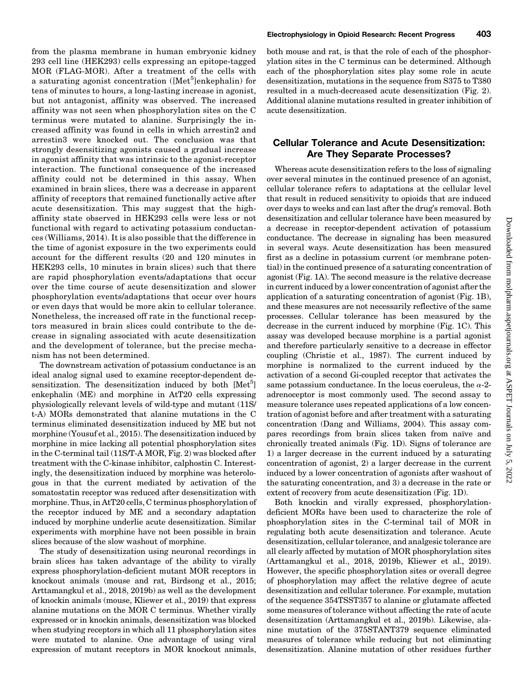from the plasma membrane in human embryonic kidney 293 cell line (HEK293) cells expressing an epitope-tagged MOR (FLAG-MOR). After a treatment of the cells with a saturating agonist concentration ([Met<sup>5</sup>]enkephalin) for tens of minutes to hours, a long-lasting increase in agonist, but not antagonist, affinity was observed. The increased affinity was not seen when phosphorylation sites on the C terminus were mutated to alanine. Surprisingly the increased affinity was found in cells in which arrestin2 and arrestin3 were knocked out. The conclusion was that strongly desensitizing agonists caused a gradual increase in agonist affinity that was intrinsic to the agonist-receptor interaction. The functional consequence of the increased affinity could not be determined in this assay. When examined in brain slices, there was a decrease in apparent affinity of receptors that remained functionally active after acute desensitization. This may suggest that the highaffinity state observed in HEK293 cells were less or not functional with regard to activating potassium conductances (Williams, 2014). It is also possible that the difference in the time of agonist exposure in the two experiments could account for the different results (20 and 120 minutes in HEK293 cells, 10 minutes in brain slices) such that there are rapid phosphorylation events/adaptations that occur over the time course of acute desensitization and slower phosphorylation events/adaptations that occur over hours or even days that would be more akin to cellular tolerance. Nonetheless, the increased off rate in the functional receptors measured in brain slices could contribute to the decrease in signaling associated with acute desensitization and the development of tolerance, but the precise mechanism has not been determined.

The downstream activation of potassium conductance is an ideal analog signal used to examine receptor-dependent desensitization. The desensitization induced by both [Met<sup>5</sup>] enkephalin (ME) and morphine in AtT20 cells expressing physiologically relevant levels of wild-type and mutant (11S/ t-A) MORs demonstrated that alanine mutations in the C terminus eliminated desensitization induced by ME but not morphine (Yousuf et al., 2015). The desensitization induced by morphine in mice lacking all potential phosphorylation sites in the C-terminal tail (11S/T-A MOR, Fig. 2) was blocked after treatment with the C-kinase inhibitor, calphostin C. Interestingly, the desensitization induced by morphine was heterologous in that the current mediated by activation of the somatostatin receptor was reduced after desensitization with morphine. Thus, in AtT20 cells, C terminus phosphorylation of the receptor induced by ME and a secondary adaptation induced by morphine underlie acute desensitization. Similar experiments with morphine have not been possible in brain slices because of the slow washout of morphine.

The study of desensitization using neuronal recordings in brain slices has taken advantage of the ability to virally express phosphorylation-deficient mutant MOR receptors in knockout animals (mouse and rat, Birdsong et al., 2015; Arttamangkul et al., 2018, 2019b) as well as the development of knockin animals (mouse, Kliewer et al., 2019) that express alanine mutations on the MOR C terminus. Whether virally expressed or in knockin animals, desensitization was blocked when studying receptors in which all 11 phosphorylation sites were mutated to alanine. One advantage of using viral expression of mutant receptors in MOR knockout animals,

both mouse and rat, is that the role of each of the phosphorylation sites in the C terminus can be determined. Although each of the phosphorylation sites play some role in acute desensitization, mutations in the sequence from S375 to T380 resulted in a much-decreased acute desensitization (Fig. 2). Additional alanine mutations resulted in greater inhibition of acute desensitization.

## Cellular Tolerance and Acute Desensitization: Are They Separate Processes?

Whereas acute desensitization refers to the loss of signaling over several minutes in the continued presence of an agonist, cellular tolerance refers to adaptations at the cellular level that result in reduced sensitivity to opioids that are induced over days to weeks and can last after the drug's removal. Both desensitization and cellular tolerance have been measured by a decrease in receptor-dependent activation of potassium conductance. The decrease in signaling has been measured in several ways. Acute desensitization has been measured first as a decline in potassium current (or membrane potential) in the continued presence of a saturating concentration of agonist (Fig. 1A). The second measure is the relative decrease in current induced by a lower concentration of agonist after the application of a saturating concentration of agonist (Fig. 1B), and these measures are not necessarily reflective of the same processes. Cellular tolerance has been measured by the decrease in the current induced by morphine (Fig. 1C). This assay was developed because morphine is a partial agonist and therefore particularly sensitive to a decrease in effector coupling (Christie et al., 1987). The current induced by morphine is normalized to the current induced by the activation of a second Gi-coupled receptor that activates the same potassium conductance. In the locus coeruleus, the  $\alpha$ -2adrenoceptor is most commonly used. The second assay to measure tolerance uses repeated applications of a low concentration of agonist before and after treatment with a saturating concentration (Dang and Williams, 2004). This assay compares recordings from brain slices taken from naïve and chronically treated animals (Fig. 1D). Signs of tolerance are 1) a larger decrease in the current induced by a saturating concentration of agonist, 2) a larger decrease in the current induced by a lower concentration of agonists after washout of the saturating concentration, and 3) a decrease in the rate or extent of recovery from acute desensitization (Fig. 1D).

Both knockin and virally expressed, phosphorylationdeficient MORs have been used to characterize the role of phosphorylation sites in the C-terminal tail of MOR in regulating both acute desensitization and tolerance. Acute desensitization, cellular tolerance, and analgesic tolerance are all clearly affected by mutation of MOR phosphorylation sites (Arttamangkul et al., 2018, 2019b, Kliewer et al., 2019). However, the specific phosphorylation sites or overall degree of phosphorylation may affect the relative degree of acute desensitization and cellular tolerance. For example, mutation of the sequence 354TSST357 to alanine or glutamate affected some measures of tolerance without affecting the rate of acute desensitization (Arttamangkul et al., 2019b). Likewise, alanine mutation of the 375STANT379 sequence eliminated measures of tolerance while reducing but not eliminating desensitization. Alanine mutation of other residues further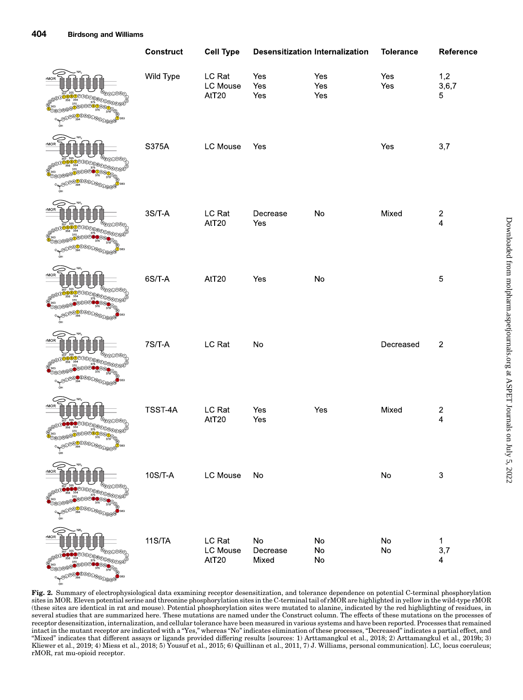|                                                                | <b>Construct</b> | <b>Cell Type</b>            |                                    | <b>Desensitization Internalization</b> | <b>Tolerance</b>            | Reference                                          |
|----------------------------------------------------------------|------------------|-----------------------------|------------------------------------|----------------------------------------|-----------------------------|----------------------------------------------------|
| <sup>18</sup> DQ8000E                                          | Wild Type        | LC Rat<br>LC Mouse<br>AtT20 | Yes<br>Yes<br>Yes                  | Yes<br>Yes<br>Yes                      | Yes<br>Yes                  | 1,2<br>3,6,7<br>5                                  |
| rMOR<br><sup>®@@@</sup> ®®                                     | S375A            | LC Mouse                    | Yes                                |                                        | Yes                         | 3,7                                                |
| rMOR                                                           | $3S/T-A$         | LC Rat<br>AtT20             | Decrease<br>Yes                    | $\mathsf{No}$                          | Mixed                       | $\boldsymbol{2}$<br>$\overline{\mathbf{4}}$        |
| rMOR<br>DEREDERBOY                                             | 6S/T-A           | AtT20                       | Yes                                | No                                     |                             | $\mathbf 5$                                        |
|                                                                | $7S/T-A$         | LC Rat                      | No                                 |                                        | Decreased                   | $\overline{\mathbf{c}}$                            |
| @O <sup>@O</sup> M <sup>E@</sup> O@@<br>$\frac{1}{2}$<br>ுழிவி | TSST-4A          | LC Rat<br>AtT20             | Yes<br>Yes                         | Yes                                    | Mixed                       | $\overline{\mathbf{c}}$<br>$\overline{\mathbf{4}}$ |
| rMOR                                                           | $10S/T-A$        | LC Mouse                    | No                                 |                                        | $\mathsf{No}$               | $\ensuremath{\mathsf{3}}$                          |
| rMOR                                                           | 11S/TA           | LC Rat<br>LC Mouse<br>AtT20 | $\mathsf{No}$<br>Decrease<br>Mixed | No<br>No<br>No                         | ${\sf No}$<br>$\mathsf{No}$ | 1<br>3,7<br>$\overline{\mathbf{4}}$                |

Fig. 2. Summary of electrophysiological data examining receptor desensitization, and tolerance dependence on potential C-terminal phosphorylation sites in MOR. Eleven potential serine and threonine phosphorylation sites in the C-terminal tail of rMOR are highlighted in yellow in the wild-type rMOR (these sites are identical in rat and mouse). Potential phosphorylation sites were mutated to alanine, indicated by the red highlighting of residues, in several studies that are summarized here. These mutations are named under the Construct column. The effects of these mutations on the processes of receptor desensitization, internalization, and cellular tolerance have been measured in various systems and have been reported. Processes that remained intact in the mutant receptor are indicated with a "Yes," whereas "No" indicates elimination of these processes, "Decreased" indicates a partial effect, and "Mixed" indicates that different assays or ligands provided differing results [sources: 1) Arttamangkul et al., 2018; 2) Arttamangkul et al., 2019b; 3) Kliewer et al., 2019; 4) Miess et al., 2018; 5) Yousuf et al., 2015; 6) Quillinan et al., 2011, 7) J. Williams, personal communication]. LC, locus coeruleus; rMOR, rat mu-opioid receptor.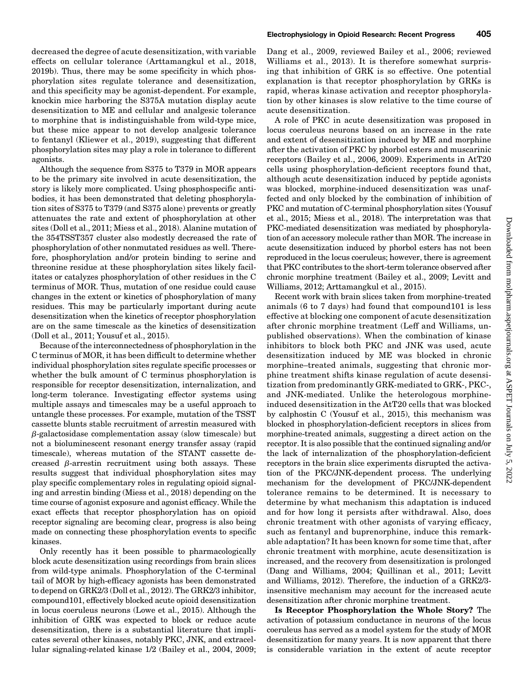decreased the degree of acute desensitization, with variable effects on cellular tolerance (Arttamangkul et al., 2018, 2019b). Thus, there may be some specificity in which phosphorylation sites regulate tolerance and desensitization, and this specificity may be agonist-dependent. For example, knockin mice harboring the S375A mutation display acute desensitization to ME and cellular and analgesic tolerance to morphine that is indistinguishable from wild-type mice, but these mice appear to not develop analgesic tolerance to fentanyl (Kliewer et al., 2019), suggesting that different phosphorylation sites may play a role in tolerance to different agonists.

Although the sequence from S375 to T379 in MOR appears to be the primary site involved in acute desensitization, the story is likely more complicated. Using phosphospecific antibodies, it has been demonstrated that deleting phosphorylation sites of S375 to T379 (and S375 alone) prevents or greatly attenuates the rate and extent of phosphorylation at other sites (Doll et al., 2011; Miess et al., 2018). Alanine mutation of the 354TSST357 cluster also modestly decreased the rate of phosphorylation of other nonmutated residues as well. Therefore, phosphorylation and/or protein binding to serine and threonine residue at these phosphorylation sites likely facilitates or catalyzes phosphorylation of other residues in the C terminus of MOR. Thus, mutation of one residue could cause changes in the extent or kinetics of phosphorylation of many residues. This may be particularly important during acute desensitization when the kinetics of receptor phosphorylation are on the same timescale as the kinetics of desensitization (Doll et al., 2011; Yousuf et al., 2015).

Because of the interconnectedness of phosphorylation in the C terminus of MOR, it has been difficult to determine whether individual phosphorylation sites regulate specific processes or whether the bulk amount of C terminus phosphorylation is responsible for receptor desensitization, internalization, and long-term tolerance. Investigating effector systems using multiple assays and timescales may be a useful approach to untangle these processes. For example, mutation of the TSST cassette blunts stable recruitment of arrestin measured with  $\beta$ -galactosidase complementation assay (slow timescale) but not a bioluminescent resonant energy transfer assay (rapid timescale), whereas mutation of the STANT cassette decreased  $\beta$ -arrestin recruitment using both assays. These results suggest that individual phosphorylation sites may play specific complementary roles in regulating opioid signaling and arrestin binding (Miess et al., 2018) depending on the time course of agonist exposure and agonist efficacy. While the exact effects that receptor phosphorylation has on opioid receptor signaling are becoming clear, progress is also being made on connecting these phosphorylation events to specific kinases.

Only recently has it been possible to pharmacologically block acute desensitization using recordings from brain slices from wild-type animals. Phosphorylation of the C-terminal tail of MOR by high-efficacy agonists has been demonstrated to depend on GRK2/3 (Doll et al., 2012). The GRK2/3 inhibitor, compound101, effectively blocked acute opioid desensitization in locus coeruleus neurons (Lowe et al., 2015). Although the inhibition of GRK was expected to block or reduce acute desensitization, there is a substantial literature that implicates several other kinases, notably PKC, JNK, and extracellular signaling-related kinase 1/2 (Bailey et al., 2004, 2009;

Dang et al., 2009, reviewed Bailey et al., 2006; reviewed Williams et al., 2013). It is therefore somewhat surprising that inhibition of GRK is so effective. One potential explanation is that receptor phosphorylation by GRKs is rapid, wheras kinase activation and receptor phosphorylation by other kinases is slow relative to the time course of acute desensitization.

A role of PKC in acute desensitization was proposed in locus coeruleus neurons based on an increase in the rate and extent of desensitization induced by ME and morphine after the activation of PKC by phorbol esters and muscarinic receptors (Bailey et al., 2006, 2009). Experiments in AtT20 cells using phosphorylation-deficient receptors found that, although acute desensitization induced by peptide agonists was blocked, morphine-induced desensitization was unaffected and only blocked by the combination of inhibition of PKC and mutation of C-terminal phosphorylation sites (Yousuf et al., 2015; Miess et al., 2018). The interpretation was that PKC-mediated desensitization was mediated by phosphorylation of an accessory molecule rather than MOR. The increase in acute desensitization induced by phorbol esters has not been reproduced in the locus coeruleus; however, there is agreement that PKC contributes to the short-term tolerance observed after chronic morphine treatment (Bailey et al., 2009; Levitt and Williams, 2012; Arttamangkul et al., 2015).

Recent work with brain slices taken from morphine-treated animals (6 to 7 days) had found that compound101 is less effective at blocking one component of acute desensitization after chronic morphine treatment (Leff and Williams, unpublished observations). When the combination of kinase inhibitors to block both PKC and JNK was used, acute desensitization induced by ME was blocked in chronic morphine–treated animals, suggesting that chronic morphine treatment shifts kinase regulation of acute desensitization from predominantly GRK-mediated to GRK-, PKC-, and JNK-mediated. Unlike the heterologous morphineinduced desensitization in the AtT20 cells that was blocked by calphostin C (Yousuf et al., 2015), this mechanism was blocked in phosphorylation-deficient receptors in slices from morphine-treated animals, suggesting a direct action on the receptor. It is also possible that the continued signaling and/or the lack of internalization of the phosphorylation-deficient receptors in the brain slice experiments disrupted the activation of the PKC/JNK-dependent process. The underlying mechanism for the development of PKC/JNK-dependent tolerance remains to be determined. It is necessary to determine by what mechanism this adaptation is induced and for how long it persists after withdrawal. Also, does chronic treatment with other agonists of varying efficacy, such as fentanyl and buprenorphine, induce this remarkable adaptation? It has been known for some time that, after chronic treatment with morphine, acute desensitization is increased, and the recovery from desensitization is prolonged (Dang and Williams, 2004; Quillinan et al., 2011; Levitt and Williams, 2012). Therefore, the induction of a GRK2/3 insensitive mechanism may account for the increased acute desensitization after chronic morphine treatment.

Is Receptor Phosphorylation the Whole Story? The activation of potassium conductance in neurons of the locus coeruleus has served as a model system for the study of MOR desensitization for many years. It is now apparent that there is considerable variation in the extent of acute receptor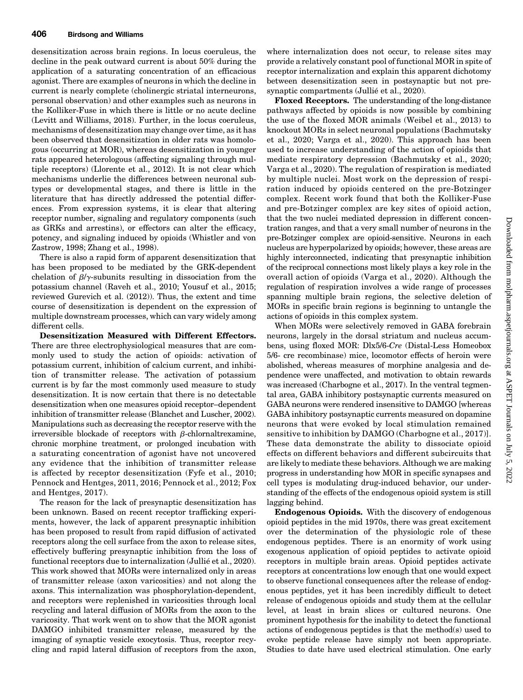desensitization across brain regions. In locus coeruleus, the decline in the peak outward current is about 50% during the application of a saturating concentration of an efficacious agonist. There are examples of neurons in which the decline in current is nearly complete (cholinergic striatal interneurons, personal observation) and other examples such as neurons in the Kolliker-Fuse in which there is little or no acute decline (Levitt and Williams, 2018). Further, in the locus coeruleus, mechanisms of desensitization may change over time, as it has been observed that desensitization in older rats was homologous (occurring at MOR), whereas desensitization in younger rats appeared heterologous (affecting signaling through multiple receptors) (Llorente et al., 2012). It is not clear which mechanisms underlie the differences between neuronal subtypes or developmental stages, and there is little in the literature that has directly addressed the potential differences. From expression systems, it is clear that altering receptor number, signaling and regulatory components (such as GRKs and arrestins), or effectors can alter the efficacy, potency, and signaling induced by opioids (Whistler and von Zastrow, 1998; Zhang et al., 1998).

There is also a rapid form of apparent desensitization that has been proposed to be mediated by the GRK-dependent chelation of  $\beta/\gamma$ -subunits resulting in dissociation from the potassium channel (Raveh et al., 2010; Yousuf et al., 2015; reviewed Gurevich et al. (2012)). Thus, the extent and time course of desensitization is dependent on the expression of multiple downstream processes, which can vary widely among different cells.

Desensitization Measured with Different Effectors. There are three electrophysiological measures that are commonly used to study the action of opioids: activation of potassium current, inhibition of calcium current, and inhibition of transmitter release. The activation of potassium current is by far the most commonly used measure to study desensitization. It is now certain that there is no detectable desensitization when one measures opioid receptor–dependent inhibition of transmitter release (Blanchet and Luscher, 2002). Manipulations such as decreasing the receptor reserve with the irreversible blockade of receptors with  $\beta$ -chlornaltrexamine, chronic morphine treatment, or prolonged incubation with a saturating concentration of agonist have not uncovered any evidence that the inhibition of transmitter release is affected by receptor desensitization (Fyfe et al., 2010; Pennock and Hentges, 2011, 2016; Pennock et al., 2012; Fox and Hentges, 2017).

The reason for the lack of presynaptic desensitization has been unknown. Based on recent receptor trafficking experiments, however, the lack of apparent presynaptic inhibition has been proposed to result from rapid diffusion of activated receptors along the cell surface from the axon to release sites, effectively buffering presynaptic inhibition from the loss of functional receptors due to internalization (Jullié et al., 2020). This work showed that MORs were internalized only in areas of transmitter release (axon varicosities) and not along the axons. This internalization was phosphorylation-dependent, and receptors were replenished in varicosities through local recycling and lateral diffusion of MORs from the axon to the varicosity. That work went on to show that the MOR agonist DAMGO inhibited transmitter release, measured by the imaging of synaptic vesicle exocytosis. Thus, receptor recycling and rapid lateral diffusion of receptors from the axon,

where internalization does not occur, to release sites may provide a relatively constant pool of functional MOR in spite of receptor internalization and explain this apparent dichotomy between desensitization seen in postsynaptic but not presynaptic compartments (Jullié et al., 2020).

Floxed Receptors. The understanding of the long-distance pathways affected by opioids is now possible by combining the use of the floxed MOR animals (Weibel et al., 2013) to knockout MORs in select neuronal populations (Bachmutsky et al., 2020; Varga et al., 2020). This approach has been used to increase understanding of the action of opioids that mediate respiratory depression (Bachmutsky et al., 2020; Varga et al., 2020). The regulation of respiration is mediated by multiple nuclei. Most work on the depression of respiration induced by opioids centered on the pre-Botzinger complex. Recent work found that both the Kolliker-Fuse and pre-Botzinger complex are key sites of opioid action, that the two nuclei mediated depression in different concentration ranges, and that a very small number of neurons in the pre-Botzinger complex are opioid-sensitive. Neurons in each nucleus are hyperpolarized by opioids; however, these areas are highly interconnected, indicating that presynaptic inhibition of the reciprocal connections most likely plays a key role in the overall action of opioids (Varga et al., 2020). Although the regulation of respiration involves a wide range of processes spanning multiple brain regions, the selective deletion of MORs in specific brain regions is beginning to untangle the actions of opioids in this complex system.

When MORs were selectively removed in GABA forebrain neurons, largely in the dorsal striatum and nucleus accumbens, using floxed MOR: Dlx5/6-Cre (Distal-Less Homeobox 5/6- cre recombinase) mice, locomotor effects of heroin were abolished, whereas measures of morphine analgesia and dependence were unaffected, and motivation to obtain rewards was increased (Charbogne et al., 2017). In the ventral tegmental area, GABA inhibitory postsynaptic currents measured on GABA neurons were rendered insensitive to DAMGO [whereas GABA inhibitory postsynaptic currents measured on dopamine neurons that were evoked by local stimulation remained sensitive to inhibition by DAMGO (Charbogne et al., 2017)]. These data demonstrate the ability to dissociate opioid effects on different behaviors and different subcircuits that are likely to mediate these behaviors. Although we are making progress in understanding how MOR in specific synapses and cell types is modulating drug-induced behavior, our understanding of the effects of the endogenous opioid system is still lagging behind.

Endogenous Opioids. With the discovery of endogenous opioid peptides in the mid 1970s, there was great excitement over the determination of the physiologic role of these endogenous peptides. There is an enormity of work using exogenous application of opioid peptides to activate opioid receptors in multiple brain areas. Opioid peptides activate receptors at concentrations low enough that one would expect to observe functional consequences after the release of endogenous peptides, yet it has been incredibly difficult to detect release of endogenous opioids and study them at the cellular level, at least in brain slices or cultured neurons. One prominent hypothesis for the inability to detect the functional actions of endogenous peptides is that the method(s) used to evoke peptide release have simply not been appropriate. Studies to date have used electrical stimulation. One early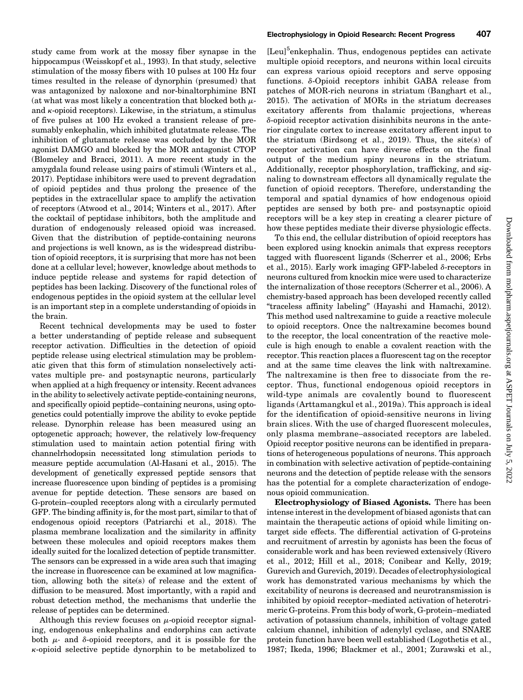study came from work at the mossy fiber synapse in the hippocampus (Weisskopf et al., 1993). In that study, selective stimulation of the mossy fibers with 10 pulses at 100 Hz four times resulted in the release of dynorphin (presumed) that was antagonized by naloxone and nor-binaltorphimine BNI (at what was most likely a concentration that blocked both  $\mu$ and  $\kappa$ -opioid receptors). Likewise, in the striatum, a stimulus of five pulses at 100 Hz evoked a transient release of presumably enkephalin, which inhibited glutatmate release. The inhibition of glutamate release was occluded by the MOR agonist DAMGO and blocked by the MOR antagonist CTOP (Blomeley and Bracci, 2011). A more recent study in the amygdala found release using pairs of stimuli (Winters et al., 2017). Peptidase inhibitors were used to prevent degradation of opioid peptides and thus prolong the presence of the peptides in the extracellular space to amplify the activation of receptors (Atwood et al., 2014; Winters et al., 2017). After the cocktail of peptidase inhibitors, both the amplitude and duration of endogenously released opioid was increased. Given that the distribution of peptide-containing neurons and projections is well known, as is the widespread distribution of opioid receptors, it is surprising that more has not been done at a cellular level; however, knowledge about methods to induce peptide release and systems for rapid detection of peptides has been lacking. Discovery of the functional roles of endogenous peptides in the opioid system at the cellular level is an important step in a complete understanding of opioids in the brain.

Recent technical developments may be used to foster a better understanding of peptide release and subsequent receptor activation. Difficulties in the detection of opioid peptide release using electrical stimulation may be problematic given that this form of stimulation nonselectively activates multiple pre- and postsynaptic neurons, particularly when applied at a high frequency or intensity. Recent advances in the ability to selectively activate peptide-containing neurons, and specifically opioid peptide–containing neurons, using optogenetics could potentially improve the ability to evoke peptide release. Dynorphin release has been measured using an optogenetic approach; however, the relatively low-frequency stimulation used to maintain action potential firing with channelrhodopsin necessitated long stimulation periods to measure peptide accumulation (Al-Hasani et al., 2015). The development of genetically expressed peptide sensors that increase fluorescence upon binding of peptides is a promising avenue for peptide detection. These sensors are based on G-protein–coupled receptors along with a circularly permuted GFP. The binding affinity is, for the most part, similar to that of endogenous opioid receptors (Patriarchi et al., 2018). The plasma membrane localization and the similarity in affinity between these molecules and opioid receptors makes them ideally suited for the localized detection of peptide transmitter. The sensors can be expressed in a wide area such that imaging the increase in fluorescence can be examined at low magnification, allowing both the site(s) of release and the extent of diffusion to be measured. Most importantly, with a rapid and robust detection method, the mechanisms that underlie the release of peptides can be determined.

Although this review focuses on  $\mu$ -opioid receptor signaling, endogenous enkephalins and endorphins can activate both  $\mu$ - and  $\delta$ -opioid receptors, and it is possible for the  $\kappa$ -opioid selective peptide dynorphin to be metabolized to

[Leu]<sup>5</sup>enkephalin. Thus, endogenous peptides can activate multiple opioid receptors, and neurons within local circuits can express various opioid receptors and serve opposing functions. d-Opioid receptors inhibit GABA release from patches of MOR-rich neurons in striatum (Banghart et al., 2015). The activation of MORs in the striatum decreases excitatory afferents from thalamic projections, whereas  $\delta$ -opioid receptor activation disinhibits neurons in the anterior cingulate cortex to increase excitatory afferent input to the striatum (Birdsong et al., 2019). Thus, the site(s) of receptor activation can have diverse effects on the final output of the medium spiny neurons in the striatum. Additionally, receptor phosphorylation, trafficking, and signaling to downstream effectors all dynamically regulate the function of opioid receptors. Therefore, understanding the temporal and spatial dynamics of how endogenous opioid peptides are sensed by both pre- and postsynaptic opioid receptors will be a key step in creating a clearer picture of how these peptides mediate their diverse physiologic effects.

To this end, the cellular distribution of opioid receptors has been explored using knockin animals that express receptors tagged with fluorescent ligands (Scherrer et al., 2006; Erbs et al., 2015). Early work imaging GFP-labeled  $\delta$ -receptors in neurons cultured from knockin mice were used to characterize the internalization of those receptors (Scherrer et al., 2006). A chemistry-based approach has been developed recently called "traceless affinity labeling" (Hayashi and Hamachi, 2012). This method used naltrexamine to guide a reactive molecule to opioid receptors. Once the naltrexamine becomes bound to the receptor, the local concentration of the reactive molecule is high enough to enable a covalent reaction with the receptor. This reaction places a fluorescent tag on the receptor and at the same time cleaves the link with naltrexamine. The naltrexamine is then free to dissociate from the receptor. Thus, functional endogenous opioid receptors in wild-type animals are covalently bound to fluorescent ligands (Arttamangkul et al., 2019a). This approach is ideal for the identification of opioid-sensitive neurons in living brain slices. With the use of charged fluorescent molecules, only plasma membrane–associated receptors are labeled. Opioid receptor positive neurons can be identified in preparations of heterogeneous populations of neurons. This approach in combination with selective activation of peptide-containing neurons and the detection of peptide release with the sensors has the potential for a complete characterization of endogenous opioid communication.

Electrophysiology of Biased Agonists. There has been intense interest in the development of biased agonists that can maintain the therapeutic actions of opioid while limiting ontarget side effects. The differential activation of G-proteins and recruitment of arrestin by agonists has been the focus of considerable work and has been reviewed extensively (Rivero et al., 2012; Hill et al., 2018; Conibear and Kelly, 2019; Gurevich and Gurevich, 2019). Decades of electrophysiological work has demonstrated various mechanisms by which the excitability of neurons is decreased and neurotransmission is inhibited by opioid receptor–mediated activation of heterotrimeric G-proteins. From this body of work, G-protein–mediated activation of potassium channels, inhibition of voltage gated calcium channel, inhibition of adenylyl cyclase, and SNARE protein function have been well established (Logothetis et al., 1987; Ikeda, 1996; Blackmer et al., 2001; Zurawski et al.,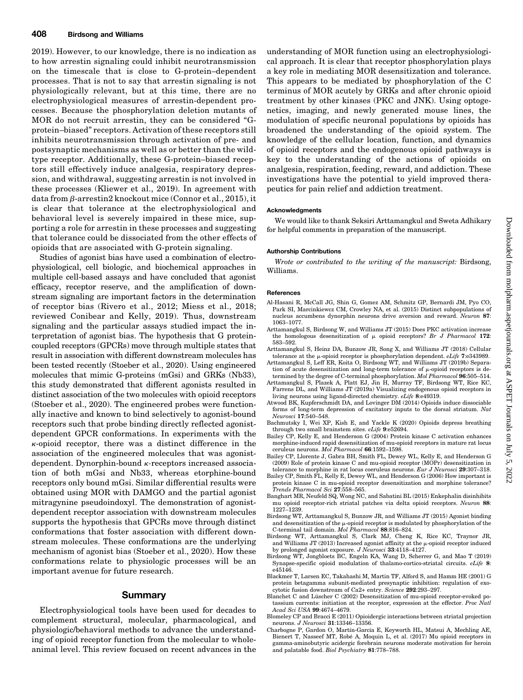2019). However, to our knowledge, there is no indication as to how arrestin signaling could inhibit neurotransmission on the timescale that is close to G-protein–dependent processes. That is not to say that arrestin signaling is not physiologically relevant, but at this time, there are no electrophysiological measures of arrestin-dependent processes. Because the phosphorylation deletion mutants of MOR do not recruit arrestin, they can be considered "Gprotein–biased" receptors. Activation of these receptors still inhibits neurotransmission through activation of pre- and postsynaptic mechanisms as well as or better than the wildtype receptor. Additionally, these G-protein–biased receptors still effectively induce analgesia, respiratory depression, and withdrawal, suggesting arrestin is not involved in these processes (Kliewer et al., 2019). In agreement with data from  $\beta$ -arrestin2 knockout mice (Connor et al., 2015), it is clear that tolerance at the electrophysiological and behavioral level is severely impaired in these mice, supporting a role for arrestin in these processes and suggesting that tolerance could be dissociated from the other effects of opioids that are associated with G-protein signaling.

Studies of agonist bias have used a combination of electrophysiological, cell biologic, and biochemical approaches in multiple cell-based assays and have concluded that agonist efficacy, receptor reserve, and the amplification of downstream signaling are important factors in the determination of receptor bias (Rivero et al., 2012; Miess et al., 2018; reviewed Conibear and Kelly, 2019). Thus, downstream signaling and the particular assays studied impact the interpretation of agonist bias. The hypothesis that G proteincoupled receptors (GPCRs) move through multiple states that result in association with different downstream molecules has been tested recently (Stoeber et al., 2020). Using engineered molecules that mimic G-proteins (mGsi) and GRKs (Nb33), this study demonstrated that different agonists resulted in distinct association of the two molecules with opioid receptors (Stoeber et al., 2020). The engineered probes were functionally inactive and known to bind selectively to agonist-bound receptors such that probe binding directly reflected agonistdependent GPCR conformations. In experiments with the  $\kappa$ -opioid receptor, there was a distinct difference in the association of the engineered molecules that was agonistdependent. Dynorphin-bound  $\kappa$ -receptors increased association of both mGsi and Nb33, whereas etorphine-bound receptors only bound mGsi. Similar differential results were obtained using MOR with DAMGO and the partial agonist mitragynine pseudoindoxyl. The demonstration of agonistdependent receptor association with downstream molecules supports the hypothesis that GPCRs move through distinct conformations that foster association with different downstream molecules. These conformations are the underlying mechanism of agonist bias (Stoeber et al., 2020). How these conformations relate to physiologic processes will be an important avenue for future research.

#### Summary

Electrophysiological tools have been used for decades to complement structural, molecular, pharmacological, and physiologic/behavioral methods to advance the understanding of opioid receptor function from the molecular to wholeanimal level. This review focused on recent advances in the

understanding of MOR function using an electrophysiological approach. It is clear that receptor phosphorylation plays a key role in mediating MOR desensitization and tolerance. This appears to be mediated by phosphorylation of the C terminus of MOR acutely by GRKs and after chronic opioid treatment by other kinases (PKC and JNK). Using optogenetics, imaging, and newly generated mouse lines, the modulation of specific neuronal populations by opioids has broadened the understanding of the opioid system. The knowledge of the cellular location, function, and dynamics of opioid receptors and the endogenous opioid pathways is key to the understanding of the actions of opioids on analgesia, respiration, feeding, reward, and addiction. These investigations have the potential to yield improved therapeutics for pain relief and addiction treatment.

#### Acknowledgments

We would like to thank Seksiri Arttamangkul and Sweta Adhikary for helpful comments in preparation of the manuscript.

#### Authorship Contributions

Wrote or contributed to the writing of the manuscript: Birdsong, Williams.

#### **References**

- Al-Hasani R, McCall JG, Shin G, Gomez AM, Schmitz GP, Bernardi JM, Pyo CO, Park SI, Marcinkiewcz CM, Crowley NA, et al. (2015) Distinct subpopulations of nucleus accumbens dynorphin neurons drive aversion and reward. Neuron 87: 1063–1077.
- Arttamangkul S, Birdsong W, and Williams JT (2015) Does PKC activation increase the homologous desensitization of  $\mu$  opioid receptors? Br J Pharmacol 172: 583–592.
- Arttamangkul S, Heinz DA, Bunzow JR, Song X, and Williams JT (2018) Cellular tolerance at the  $\mu$ -opioid receptor is phosphorylation dependent.  $eLife$  7:e343989.
- Arttamangkul S, Leff ER, Koita O, Birdsong WT, and Williams JT (2019b) Separation of acute desensitization and long-term tolerance of  $\mu$ -opioid receptors is determined by the degree of C-terminal phosphorylation. *Mol Pharmacol* **96**:505–514.
- Arttamangkul S, Plazek A, Platt EJ, Jin H, Murray TF, Birdsong WT, Rice KC, Farrens DL, and Williams JT (2019a) Visualizing endogenous opioid receptors in living neurons using ligand-directed chemistry. eLife 8:e49319.
- Atwood BK, Kupferschmidt DA, and Lovinger DM (2014) Opioids induce dissociable forms of long-term depression of excitatory inputs to the dorsal striatum. Nat Neurosci 17:540–548.
- Bachmutsky I, Wei XP, Kish E, and Yackle K (2020) Opioids depress breathing through two small brainstem sites. eLife 9:e52694.
- Bailey CP, Kelly E, and Henderson G (2004) Protein kinase C activation enhances morphine-induced rapid desensitization of mu-opioid receptors in mature rat locus ceruleus neurons. Mol Pharmacol 66:1592–1598.
- Bailey CP, Llorente J, Gabra BH, Smith FL, Dewey WL, Kelly E, and Henderson G (2009) Role of protein kinase C and mu-opioid receptor (MOPr) desensitization in tolerance to morphine in rat locus coeruleus neurons. Eur J Neurosci 29:307–318.
- Bailey CP, Smith FL, Kelly E, Dewey WL, and Henderson G (2006) How important is protein kinase C in mu-opioid receptor desensitization and morphine tolerance? Trends Pharmacol Sci 27:558–565.
- Banghart MR, Neufeld SQ, Wong NC, and Sabatini BL (2015) Enkephalin disinhibits mu opioid receptor-rich striatal patches via delta opioid receptors. Neuron 88: 1227–1239.
- Birdsong WT, Arttamangkul S, Bunzow JR, and Williams JT (2015) Agonist binding and desensitization of the  $\mu$ -opioid receptor is modulated by phosphorylation of the C-terminal tail domain. Mol Pharmacol 88:816–824.
- Birdsong WT, Arttamangkul S, Clark MJ, Cheng K, Rice KC, Traynor JR, and Williams JT (2013) Increased agonist affinity at the  $\mu$ -opioid receptor induced by prolonged agonist exposure. J Neurosci 33:4118–4127.
- Birdsong WT, Jongbloets BC, Engeln KA, Wang D, Scherrer G, and Mao T (2019) Synapse-specific opioid modulation of thalamo-cortico-striatal circuits. eLife 8: e45146.
- Blackmer T, Larsen EC, Takahashi M, Martin TF, Alford S, and Hamm HE (2001) G protein betagamma subunit-mediated presynaptic inhibition: regulation of exocytotic fusion downstream of Ca2+ entry. Science 292:293–297.
- Blanchet C and Lüscher C (2002) Desensitization of mu-opioid receptor-evoked potassium currents: initiation at the receptor, expression at the effector. Proc Natl Acad Sci USA 99:4674–4679.
- Blomeley CP and Bracci E (2011) Opioidergic interactions between striatal projection neurons. J Neurosci 31:13346–13356.
- Charbogne P, Gardon O, Martín-García E, Keyworth HL, Matsui A, Mechling AE, Bienert T, Nasseef MT, Robé A, Moquin L, et al. (2017) Mu opioid receptors in gamma-aminobutyric acidergic forebrain neurons moderate motivation for heroin and palatable food. Biol Psychiatry 81:778–788.